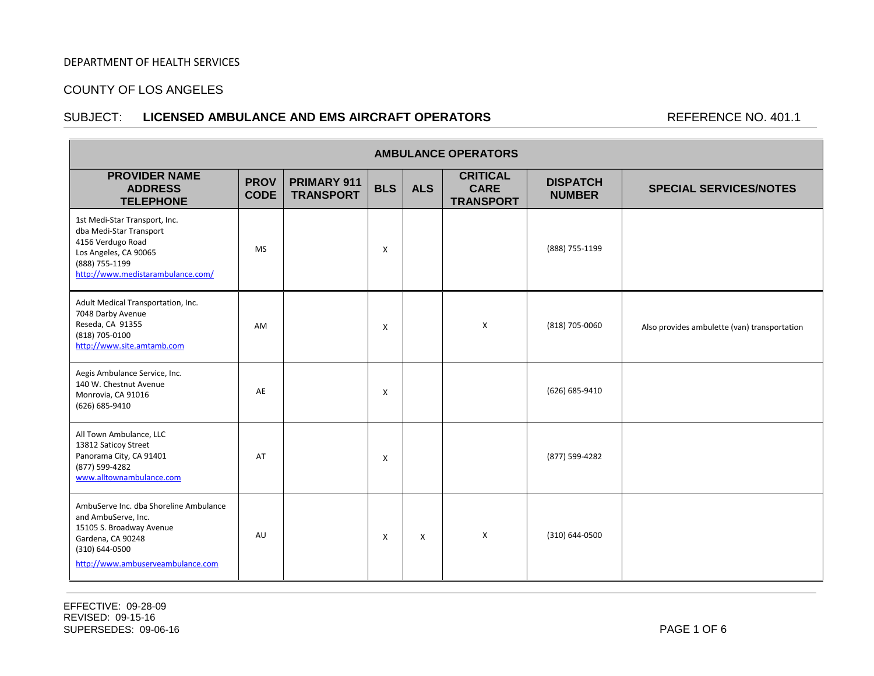#### COUNTY OF LOS ANGELES

#### SUBJECT: LICENSED AMBULANCE AND EMS AIRCRAFT OPERATORS REFERENCE NO. 401.1

| <b>AMBULANCE OPERATORS</b>                                                                                                                                            |                            |                                 |            |            |                                                    |                                  |                                              |  |  |  |
|-----------------------------------------------------------------------------------------------------------------------------------------------------------------------|----------------------------|---------------------------------|------------|------------|----------------------------------------------------|----------------------------------|----------------------------------------------|--|--|--|
| <b>PROVIDER NAME</b><br><b>ADDRESS</b><br><b>TELEPHONE</b>                                                                                                            | <b>PROV</b><br><b>CODE</b> | PRIMARY 911<br><b>TRANSPORT</b> | <b>BLS</b> | <b>ALS</b> | <b>CRITICAL</b><br><b>CARE</b><br><b>TRANSPORT</b> | <b>DISPATCH</b><br><b>NUMBER</b> | <b>SPECIAL SERVICES/NOTES</b>                |  |  |  |
| 1st Medi-Star Transport, Inc.<br>dba Medi-Star Transport<br>4156 Verdugo Road<br>Los Angeles, CA 90065<br>(888) 755-1199<br>http://www.medistarambulance.com/         | <b>MS</b>                  |                                 | X          |            |                                                    | (888) 755-1199                   |                                              |  |  |  |
| Adult Medical Transportation, Inc.<br>7048 Darby Avenue<br>Reseda, CA 91355<br>(818) 705-0100<br>http://www.site.amtamb.com                                           | AM                         |                                 | Χ          |            | X                                                  | (818) 705-0060                   | Also provides ambulette (van) transportation |  |  |  |
| Aegis Ambulance Service, Inc.<br>140 W. Chestnut Avenue<br>Monrovia, CA 91016<br>(626) 685-9410                                                                       | AE                         |                                 | X          |            |                                                    | (626) 685-9410                   |                                              |  |  |  |
| All Town Ambulance, LLC<br>13812 Saticoy Street<br>Panorama City, CA 91401<br>(877) 599-4282<br>www.alltownambulance.com                                              | AT                         |                                 | X          |            |                                                    | (877) 599-4282                   |                                              |  |  |  |
| AmbuServe Inc. dba Shoreline Ambulance<br>and AmbuServe, Inc.<br>15105 S. Broadway Avenue<br>Gardena, CA 90248<br>(310) 644-0500<br>http://www.ambuserveambulance.com | AU                         |                                 | X          | X          | X                                                  | (310) 644-0500                   |                                              |  |  |  |

EFFECTIVE: 09-28-09 REVISED: 09-15-16 SUPERSEDES: 09-06-16 PAGE 1 OF 6

l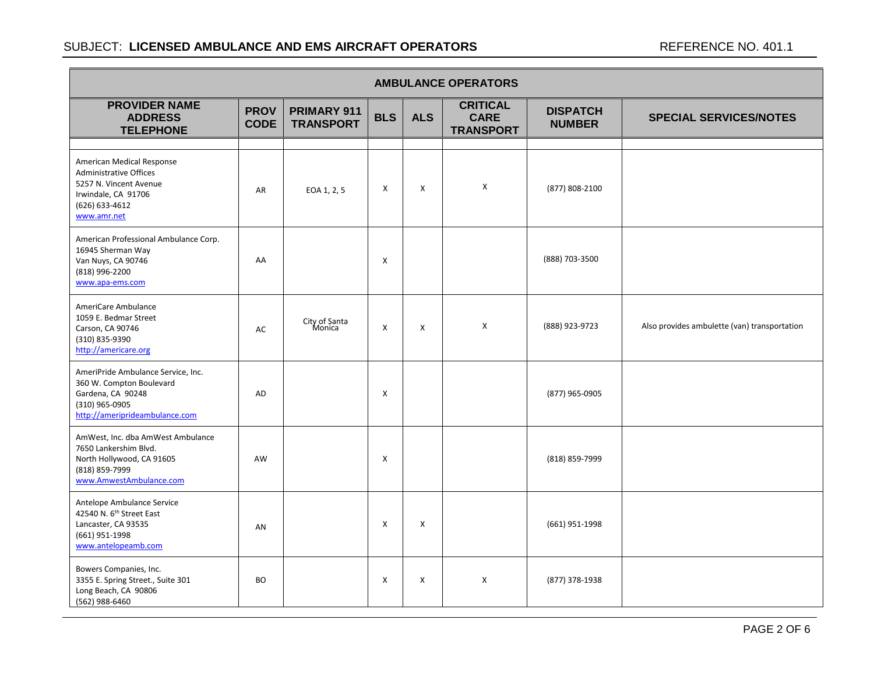| <b>AMBULANCE OPERATORS</b>                                                                                                                   |                            |                                 |            |            |                                                    |                                  |                                              |  |  |  |
|----------------------------------------------------------------------------------------------------------------------------------------------|----------------------------|---------------------------------|------------|------------|----------------------------------------------------|----------------------------------|----------------------------------------------|--|--|--|
| <b>PROVIDER NAME</b><br><b>ADDRESS</b><br><b>TELEPHONE</b>                                                                                   | <b>PROV</b><br><b>CODE</b> | PRIMARY 911<br><b>TRANSPORT</b> | <b>BLS</b> | <b>ALS</b> | <b>CRITICAL</b><br><b>CARE</b><br><b>TRANSPORT</b> | <b>DISPATCH</b><br><b>NUMBER</b> | <b>SPECIAL SERVICES/NOTES</b>                |  |  |  |
|                                                                                                                                              |                            |                                 |            |            |                                                    |                                  |                                              |  |  |  |
| American Medical Response<br><b>Administrative Offices</b><br>5257 N. Vincent Avenue<br>Irwindale, CA 91706<br>(626) 633-4612<br>www.amr.net | AR                         | EOA 1, 2, 5                     | X          | X          | X                                                  | (877) 808-2100                   |                                              |  |  |  |
| American Professional Ambulance Corp.<br>16945 Sherman Way<br>Van Nuys, CA 90746<br>(818) 996-2200<br>www.apa-ems.com                        | AA                         |                                 | X          |            |                                                    | (888) 703-3500                   |                                              |  |  |  |
| AmeriCare Ambulance<br>1059 E. Bedmar Street<br>Carson, CA 90746<br>(310) 835-9390<br>http://americare.org                                   | AC                         | City of Santa<br>Monica         | X          | X          | $\boldsymbol{\mathsf{X}}$                          | (888) 923-9723                   | Also provides ambulette (van) transportation |  |  |  |
| AmeriPride Ambulance Service, Inc.<br>360 W. Compton Boulevard<br>Gardena, CA 90248<br>(310) 965-0905<br>http://ameriprideambulance.com      | <b>AD</b>                  |                                 | X          |            |                                                    | (877) 965-0905                   |                                              |  |  |  |
| AmWest, Inc. dba AmWest Ambulance<br>7650 Lankershim Blvd.<br>North Hollywood, CA 91605<br>(818) 859-7999<br>www.AmwestAmbulance.com         | AW                         |                                 | X          |            |                                                    | (818) 859-7999                   |                                              |  |  |  |
| Antelope Ambulance Service<br>42540 N. 6 <sup>th</sup> Street East<br>Lancaster, CA 93535<br>(661) 951-1998<br>www.antelopeamb.com           | AN                         |                                 | X          | X          |                                                    | (661) 951-1998                   |                                              |  |  |  |
| Bowers Companies, Inc.<br>3355 E. Spring Street., Suite 301<br>Long Beach, CA 90806<br>(562) 988-6460                                        | <b>BO</b>                  |                                 | X          | X          | X                                                  | (877) 378-1938                   |                                              |  |  |  |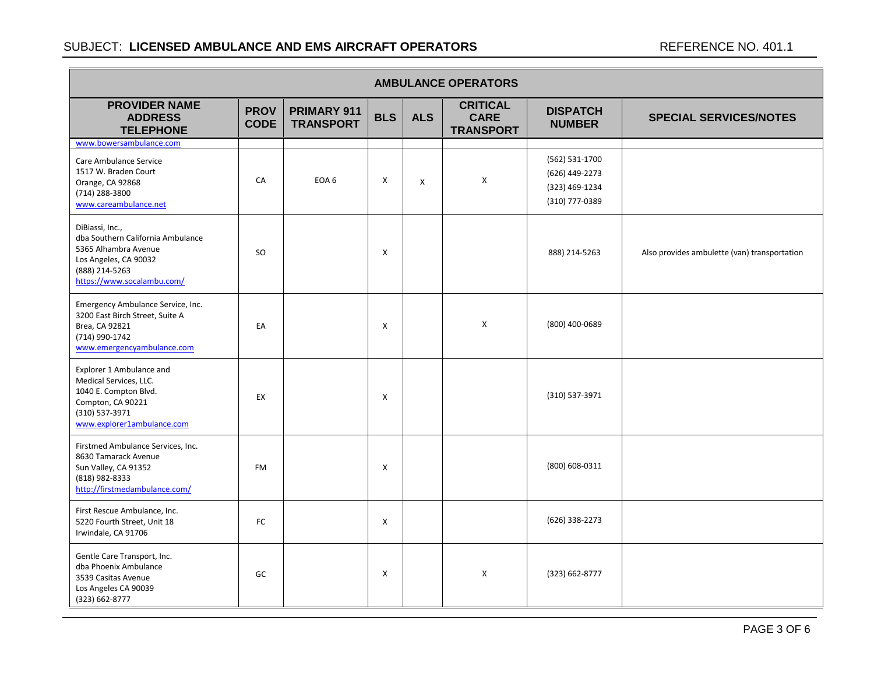| <b>AMBULANCE OPERATORS</b>                                                                                                                            |                            |                                 |            |            |                                                    |                                                                      |                                              |  |  |  |
|-------------------------------------------------------------------------------------------------------------------------------------------------------|----------------------------|---------------------------------|------------|------------|----------------------------------------------------|----------------------------------------------------------------------|----------------------------------------------|--|--|--|
| <b>PROVIDER NAME</b><br><b>ADDRESS</b><br><b>TELEPHONE</b>                                                                                            | <b>PROV</b><br><b>CODE</b> | PRIMARY 911<br><b>TRANSPORT</b> | <b>BLS</b> | <b>ALS</b> | <b>CRITICAL</b><br><b>CARE</b><br><b>TRANSPORT</b> | <b>DISPATCH</b><br><b>NUMBER</b>                                     | <b>SPECIAL SERVICES/NOTES</b>                |  |  |  |
| www.bowersambulance.com                                                                                                                               |                            |                                 |            |            |                                                    |                                                                      |                                              |  |  |  |
| Care Ambulance Service<br>1517 W. Braden Court<br>Orange, CA 92868<br>(714) 288-3800<br>www.careambulance.net                                         | CA                         | EOA 6                           | X          | X          | X                                                  | (562) 531-1700<br>(626) 449-2273<br>(323) 469-1234<br>(310) 777-0389 |                                              |  |  |  |
| DiBiassi, Inc.,<br>dba Southern California Ambulance<br>5365 Alhambra Avenue<br>Los Angeles, CA 90032<br>(888) 214-5263<br>https://www.socalambu.com/ | <b>SO</b>                  |                                 | X          |            |                                                    | 888) 214-5263                                                        | Also provides ambulette (van) transportation |  |  |  |
| Emergency Ambulance Service, Inc.<br>3200 East Birch Street, Suite A<br>Brea, CA 92821<br>(714) 990-1742<br>www.emergencyambulance.com                | EA                         |                                 | X          |            | X                                                  | (800) 400-0689                                                       |                                              |  |  |  |
| Explorer 1 Ambulance and<br>Medical Services, LLC.<br>1040 E. Compton Blvd.<br>Compton, CA 90221<br>(310) 537-3971<br>www.explorer1ambulance.com      | EX                         |                                 | X          |            |                                                    | (310) 537-3971                                                       |                                              |  |  |  |
| Firstmed Ambulance Services, Inc.<br>8630 Tamarack Avenue<br>Sun Valley, CA 91352<br>(818) 982-8333<br>http://firstmedambulance.com/                  | FM                         |                                 | X          |            |                                                    | (800) 608-0311                                                       |                                              |  |  |  |
| First Rescue Ambulance, Inc.<br>5220 Fourth Street, Unit 18<br>Irwindale, CA 91706                                                                    | FC                         |                                 | X          |            |                                                    | (626) 338-2273                                                       |                                              |  |  |  |
| Gentle Care Transport, Inc.<br>dba Phoenix Ambulance<br>3539 Casitas Avenue<br>Los Angeles CA 90039<br>(323) 662-8777                                 | GC                         |                                 | X          |            | X                                                  | (323) 662-8777                                                       |                                              |  |  |  |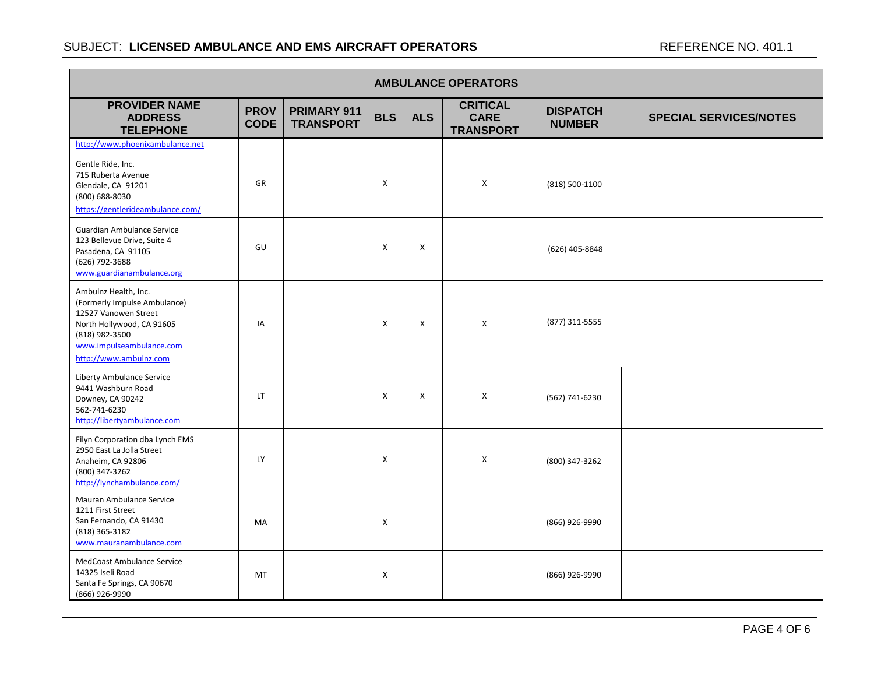| <b>AMBULANCE OPERATORS</b>                                                                                                                                                        |                            |                                 |            |            |                                                    |                                  |                               |  |  |  |
|-----------------------------------------------------------------------------------------------------------------------------------------------------------------------------------|----------------------------|---------------------------------|------------|------------|----------------------------------------------------|----------------------------------|-------------------------------|--|--|--|
| <b>PROVIDER NAME</b><br><b>ADDRESS</b><br><b>TELEPHONE</b>                                                                                                                        | <b>PROV</b><br><b>CODE</b> | PRIMARY 911<br><b>TRANSPORT</b> | <b>BLS</b> | <b>ALS</b> | <b>CRITICAL</b><br><b>CARE</b><br><b>TRANSPORT</b> | <b>DISPATCH</b><br><b>NUMBER</b> | <b>SPECIAL SERVICES/NOTES</b> |  |  |  |
| http://www.phoenixambulance.net                                                                                                                                                   |                            |                                 |            |            |                                                    |                                  |                               |  |  |  |
| Gentle Ride, Inc.<br>715 Ruberta Avenue<br>Glendale, CA 91201<br>(800) 688-8030<br>https://gentlerideambulance.com/                                                               | GR                         |                                 | X          |            | Χ                                                  | (818) 500-1100                   |                               |  |  |  |
| <b>Guardian Ambulance Service</b><br>123 Bellevue Drive, Suite 4<br>Pasadena, CA 91105<br>(626) 792-3688<br>www.guardianambulance.org                                             | GU                         |                                 | X          | X          |                                                    | (626) 405-8848                   |                               |  |  |  |
| Ambulnz Health, Inc.<br>(Formerly Impulse Ambulance)<br>12527 Vanowen Street<br>North Hollywood, CA 91605<br>(818) 982-3500<br>www.impulseambulance.com<br>http://www.ambulnz.com | IA                         |                                 | X          | X          | $\mathsf{X}$                                       | (877) 311-5555                   |                               |  |  |  |
| Liberty Ambulance Service<br>9441 Washburn Road<br>Downey, CA 90242<br>562-741-6230<br>http://libertyambulance.com                                                                | LT.                        |                                 | X          | X          | $\mathsf{x}$                                       | (562) 741-6230                   |                               |  |  |  |
| Filyn Corporation dba Lynch EMS<br>2950 East La Jolla Street<br>Anaheim, CA 92806<br>(800) 347-3262<br>http://lynchambulance.com/                                                 | LY                         |                                 | X          |            | $\mathsf{X}$                                       | (800) 347-3262                   |                               |  |  |  |
| Mauran Ambulance Service<br>1211 First Street<br>San Fernando, CA 91430<br>(818) 365-3182<br>www.mauranambulance.com                                                              | MA                         |                                 | X          |            |                                                    | (866) 926-9990                   |                               |  |  |  |
| MedCoast Ambulance Service<br>14325 Iseli Road<br>Santa Fe Springs, CA 90670<br>(866) 926-9990                                                                                    | <b>MT</b>                  |                                 | X          |            |                                                    | (866) 926-9990                   |                               |  |  |  |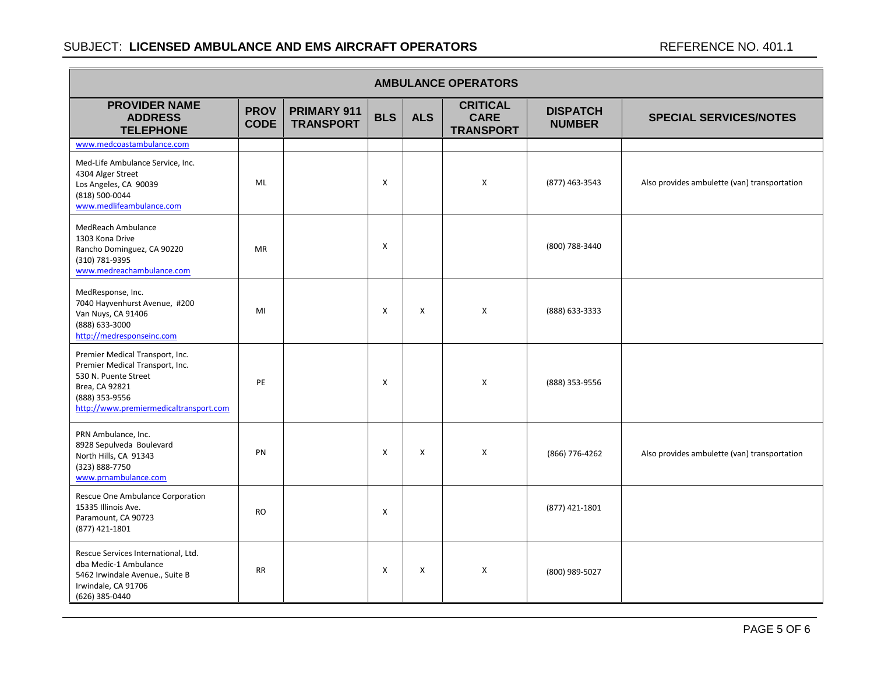| <b>AMBULANCE OPERATORS</b>                                                                                                                                               |                            |                                 |            |            |                                                    |                                  |                                              |  |  |  |
|--------------------------------------------------------------------------------------------------------------------------------------------------------------------------|----------------------------|---------------------------------|------------|------------|----------------------------------------------------|----------------------------------|----------------------------------------------|--|--|--|
| <b>PROVIDER NAME</b><br><b>ADDRESS</b><br><b>TELEPHONE</b>                                                                                                               | <b>PROV</b><br><b>CODE</b> | PRIMARY 911<br><b>TRANSPORT</b> | <b>BLS</b> | <b>ALS</b> | <b>CRITICAL</b><br><b>CARE</b><br><b>TRANSPORT</b> | <b>DISPATCH</b><br><b>NUMBER</b> | <b>SPECIAL SERVICES/NOTES</b>                |  |  |  |
| www.medcoastambulance.com                                                                                                                                                |                            |                                 |            |            |                                                    |                                  |                                              |  |  |  |
| Med-Life Ambulance Service, Inc.<br>4304 Alger Street<br>Los Angeles, CA 90039<br>(818) 500-0044<br>www.medlifeambulance.com                                             | ML                         |                                 | X          |            | X                                                  | (877) 463-3543                   | Also provides ambulette (van) transportation |  |  |  |
| MedReach Ambulance<br>1303 Kona Drive<br>Rancho Dominguez, CA 90220<br>(310) 781-9395<br>www.medreachambulance.com                                                       | <b>MR</b>                  |                                 | X          |            |                                                    | (800) 788-3440                   |                                              |  |  |  |
| MedResponse, Inc.<br>7040 Hayvenhurst Avenue, #200<br>Van Nuys, CA 91406<br>(888) 633-3000<br>http://medresponseinc.com                                                  | MI                         |                                 | X          | Χ          | X                                                  | (888) 633-3333                   |                                              |  |  |  |
| Premier Medical Transport, Inc.<br>Premier Medical Transport, Inc.<br>530 N. Puente Street<br>Brea, CA 92821<br>(888) 353-9556<br>http://www.premiermedicaltransport.com | PE                         |                                 | X          |            | X                                                  | (888) 353-9556                   |                                              |  |  |  |
| PRN Ambulance, Inc.<br>8928 Sepulveda Boulevard<br>North Hills, CA 91343<br>(323) 888-7750<br>www.prnambulance.com                                                       | PN                         |                                 | X          | X          | X                                                  | (866) 776-4262                   | Also provides ambulette (van) transportation |  |  |  |
| Rescue One Ambulance Corporation<br>15335 Illinois Ave.<br>Paramount, CA 90723<br>(877) 421-1801                                                                         | <b>RO</b>                  |                                 | X          |            |                                                    | (877) 421-1801                   |                                              |  |  |  |
| Rescue Services International, Ltd.<br>dba Medic-1 Ambulance<br>5462 Irwindale Avenue., Suite B<br>Irwindale, CA 91706<br>(626) 385-0440                                 | <b>RR</b>                  |                                 | X          | Χ          | X                                                  | (800) 989-5027                   |                                              |  |  |  |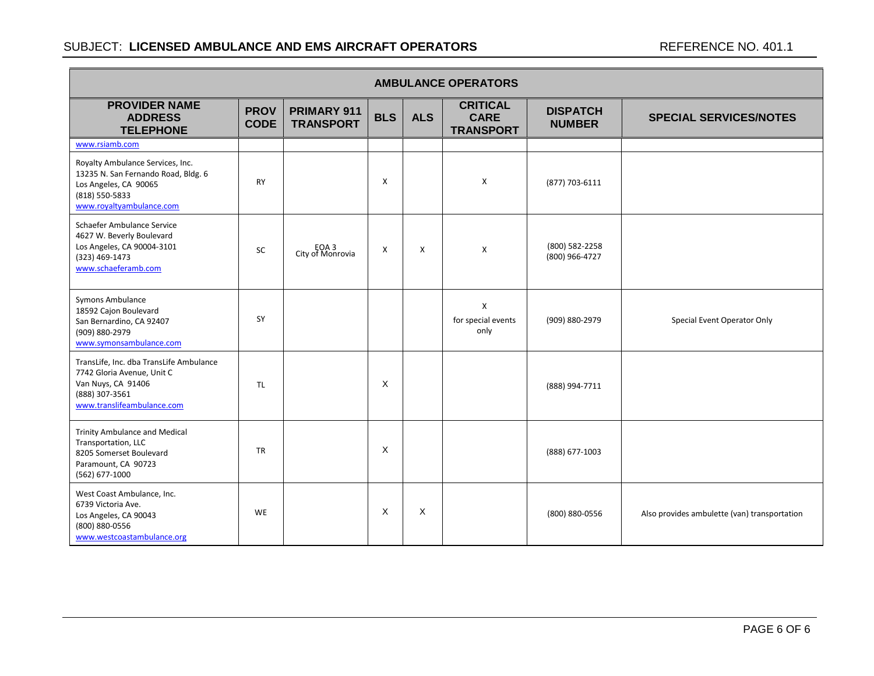| <b>AMBULANCE OPERATORS</b>                                                                                                                     |                            |                                 |            |            |                                                    |                                  |                                              |  |  |  |
|------------------------------------------------------------------------------------------------------------------------------------------------|----------------------------|---------------------------------|------------|------------|----------------------------------------------------|----------------------------------|----------------------------------------------|--|--|--|
| <b>PROVIDER NAME</b><br><b>ADDRESS</b><br><b>TELEPHONE</b>                                                                                     | <b>PROV</b><br><b>CODE</b> | PRIMARY 911<br><b>TRANSPORT</b> | <b>BLS</b> | <b>ALS</b> | <b>CRITICAL</b><br><b>CARE</b><br><b>TRANSPORT</b> | <b>DISPATCH</b><br><b>NUMBER</b> | <b>SPECIAL SERVICES/NOTES</b>                |  |  |  |
| www.rsiamb.com                                                                                                                                 |                            |                                 |            |            |                                                    |                                  |                                              |  |  |  |
| Royalty Ambulance Services, Inc.<br>13235 N. San Fernando Road, Bldg. 6<br>Los Angeles, CA 90065<br>(818) 550-5833<br>www.royaltyambulance.com | <b>RY</b>                  |                                 | X          |            | X                                                  | (877) 703-6111                   |                                              |  |  |  |
| Schaefer Ambulance Service<br>4627 W. Beverly Boulevard<br>Los Angeles, CA 90004-3101<br>(323) 469-1473<br>www.schaeferamb.com                 | <b>SC</b>                  | EOA 3<br>City of Monrovia       | X          | X          | X                                                  | (800) 582-2258<br>(800) 966-4727 |                                              |  |  |  |
| Symons Ambulance<br>18592 Cajon Boulevard<br>San Bernardino, CA 92407<br>(909) 880-2979<br>www.symonsambulance.com                             | SY                         |                                 |            |            | X<br>for special events<br>only                    | (909) 880-2979                   | Special Event Operator Only                  |  |  |  |
| TransLife, Inc. dba TransLife Ambulance<br>7742 Gloria Avenue, Unit C<br>Van Nuys, CA 91406<br>(888) 307-3561<br>www.translifeambulance.com    | TL.                        |                                 | X          |            |                                                    | (888) 994-7711                   |                                              |  |  |  |
| <b>Trinity Ambulance and Medical</b><br>Transportation, LLC<br>8205 Somerset Boulevard<br>Paramount, CA 90723<br>(562) 677-1000                | <b>TR</b>                  |                                 | X          |            |                                                    | (888) 677-1003                   |                                              |  |  |  |
| West Coast Ambulance, Inc.<br>6739 Victoria Ave.<br>Los Angeles, CA 90043<br>(800) 880-0556<br>www.westcoastambulance.org                      | <b>WE</b>                  |                                 | X          | X          |                                                    | (800) 880-0556                   | Also provides ambulette (van) transportation |  |  |  |